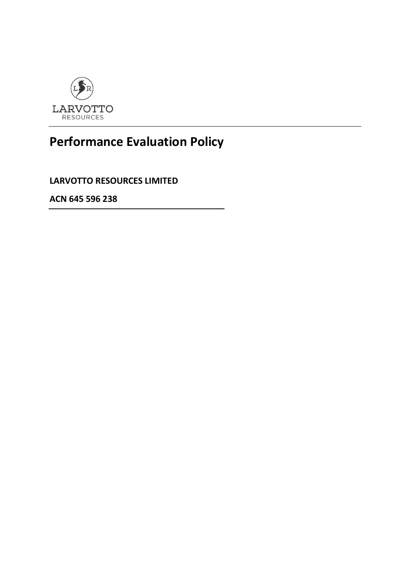

## **Performance Evaluation Policy**

**LARVOTTO RESOURCES LIMITED**

**ACN 645 596 238**